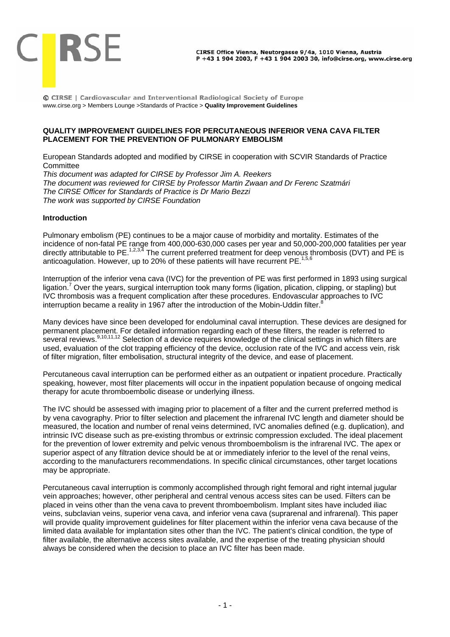

© CIRSE | Cardiovascular and Interventional Radiological Society of Europe www.cirse.org > Members Lounge >Standards of Practice > **Quality Improvement Guidelines** 

## **QUALITY IMPROVEMENT GUIDELINES FOR PERCUTANEOUS INFERIOR VENA CAVA FILTER PLACEMENT FOR THE PREVENTION OF PULMONARY EMBOLISM**

European Standards adopted and modified by CIRSE in cooperation with SCVIR Standards of Practice **Committee** 

*This document was adapted for CIRSE by Professor Jim A. Reekers The document was reviewed for CIRSE by Professor Martin Zwaan and Dr Ferenc Szatmári The CIRSE Officer for Standards of Practice is Dr Mario Bezzi The work was supported by CIRSE Foundation* 

## **Introduction**

Pulmonary embolism (PE) continues to be a major cause of morbidity and mortality. Estimates of the incidence of non-fatal PE range from 400,000-630,000 cases per year and 50,000-200,000 fatalities per year directly attributable to PE.<sup>1,2,3,4</sup> The current preferred treatment for deep venous thrombosis (DVT) and PE is anticoagulation. However, up to 20% of these patients will have recurrent  $PE^{1,5,6}$ 

Interruption of the inferior vena cava (IVC) for the prevention of PE was first performed in 1893 using surgical ligation.<sup>7</sup> Over the years, surgical interruption took many forms (ligation, plication, clipping, or stapling) but IVC thrombosis was a frequent complication after these procedures. Endovascular approaches to IVC interruption became a reality in 1967 after the introduction of the Mobin-Uddin filter.

Many devices have since been developed for endoluminal caval interruption. These devices are designed for permanent placement. For detailed information regarding each of these filters, the reader is referred to several reviews.<sup>9,10,11,12</sup> Selection of a device requires knowledge of the clinical settings in which filters are used, evaluation of the clot trapping efficiency of the device, occlusion rate of the IVC and access vein, risk of filter migration, filter embolisation, structural integrity of the device, and ease of placement.

Percutaneous caval interruption can be performed either as an outpatient or inpatient procedure. Practically speaking, however, most filter placements will occur in the inpatient population because of ongoing medical therapy for acute thromboembolic disease or underlying illness.

The IVC should be assessed with imaging prior to placement of a filter and the current preferred method is by vena cavography. Prior to filter selection and placement the infrarenal IVC length and diameter should be measured, the location and number of renal veins determined, IVC anomalies defined (e.g. duplication), and intrinsic IVC disease such as pre-existing thrombus or extrinsic compression excluded. The ideal placement for the prevention of lower extremity and pelvic venous thromboembolism is the infrarenal IVC. The apex or superior aspect of any filtration device should be at or immediately inferior to the level of the renal veins, according to the manufacturers recommendations. In specific clinical circumstances, other target locations may be appropriate.

Percutaneous caval interruption is commonly accomplished through right femoral and right internal jugular vein approaches; however, other peripheral and central venous access sites can be used. Filters can be placed in veins other than the vena cava to prevent thromboembolism. Implant sites have included iliac veins, subclavian veins, superior vena cava, and inferior vena cava (suprarenal and infrarenal). This paper will provide quality improvement guidelines for filter placement within the inferior vena cava because of the limited data available for implantation sites other than the IVC. The patient's clinical condition, the type of filter available, the alternative access sites available, and the expertise of the treating physician should always be considered when the decision to place an IVC filter has been made.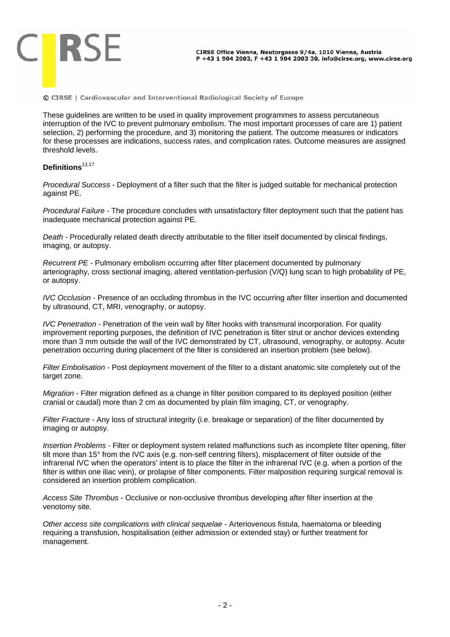

These guidelines are written to be used in quality improvement programmes to assess percutaneous interruption of the IVC to prevent pulmonary embolism. The most important processes of care are 1) patient selection, 2) performing the procedure, and 3) monitoring the patient. The outcome measures or indicators for these processes are indications, success rates, and complication rates. Outcome measures are assigned threshold levels.

# Definitions<sup>13,17</sup>

*Procedural Success* - Deployment of a filter such that the filter is judged suitable for mechanical protection against PE.

*Procedural Failure* - The procedure concludes with unsatisfactory filter deployment such that the patient has inadequate mechanical protection against PE.

*Death* - Procedurally related death directly attributable to the filter itself documented by clinical findings, imaging, or autopsy.

*Recurrent PE* - Pulmonary embolism occurring after filter placement documented by pulmonary arteriography, cross sectional imaging, altered ventilation-perfusion (V/Q) lung scan to high probability of PE, or autopsy.

*IVC Occlusion* - Presence of an occluding thrombus in the IVC occurring after filter insertion and documented by ultrasound, CT, MRI, venography, or autopsy.

*IVC Penetration* - Penetration of the vein wall by filter hooks with transmural incorporation. For quality improvement reporting purposes, the definition of IVC penetration is filter strut or anchor devices extending more than 3 mm outside the wall of the IVC demonstrated by CT, ultrasound, venography, or autopsy. Acute penetration occurring during placement of the filter is considered an insertion problem (see below).

*Filter Embolisation* - Post deployment movement of the filter to a distant anatomic site completely out of the target zone.

*Migration* - Filter migration defined as a change in filter position compared to its deployed position (either cranial or caudal) more than 2 cm as documented by plain film imaging, CT, or venography.

*Filter Fracture* - Any loss of structural integrity (i.e. breakage or separation) of the filter documented by imaging or autopsy.

*Insertion Problems* - Filter or deployment system related malfunctions such as incomplete filter opening, filter tilt more than 15° from the IVC axis (e.g. non-self centring filters), misplacement of filter outside of the infrarenal IVC when the operators' intent is to place the filter in the infrarenal IVC (e.g. when a portion of the filter is within one iliac vein), or prolapse of filter components. Filter malposition requiring surgical removal is considered an insertion problem complication.

*Access Site Thrombus* - Occlusive or non-occlusive thrombus developing after filter insertion at the venotomy site.

*Other access site complications with clinical sequelae* - Arteriovenous fistula, haematoma or bleeding requiring a transfusion, hospitalisation (either admission or extended stay) or further treatment for management.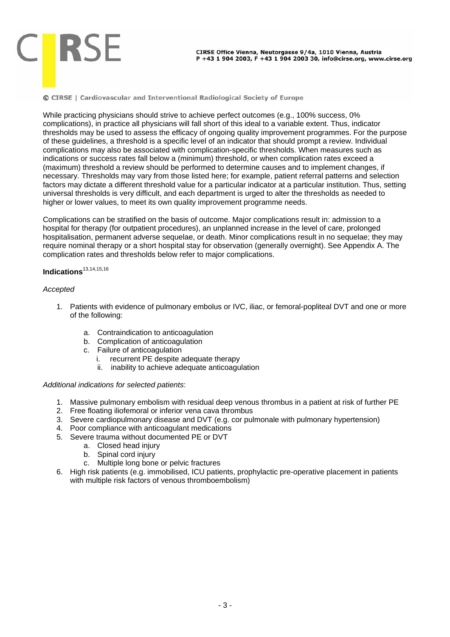While practicing physicians should strive to achieve perfect outcomes (e.g., 100% success, 0% complications), in practice all physicians will fall short of this ideal to a variable extent. Thus, indicator thresholds may be used to assess the efficacy of ongoing quality improvement programmes. For the purpose of these guidelines, a threshold is a specific level of an indicator that should prompt a review. Individual complications may also be associated with complication-specific thresholds. When measures such as indications or success rates fall below a (minimum) threshold, or when complication rates exceed a (maximum) threshold a review should be performed to determine causes and to implement changes, if necessary. Thresholds may vary from those listed here; for example, patient referral patterns and selection factors may dictate a different threshold value for a particular indicator at a particular institution. Thus, setting universal thresholds is very difficult, and each department is urged to alter the thresholds as needed to higher or lower values, to meet its own quality improvement programme needs.

Complications can be stratified on the basis of outcome. Major complications result in: admission to a hospital for therapy (for outpatient procedures), an unplanned increase in the level of care, prolonged hospitalisation, permanent adverse sequelae, or death. Minor complications result in no sequelae; they may require nominal therapy or a short hospital stay for observation (generally overnight). See Appendix A. The complication rates and thresholds below refer to major complications.

# **Indications**13,14,15,16

### *Accepted*

- 1. Patients with evidence of pulmonary embolus or IVC, iliac, or femoral-popliteal DVT and one or more of the following:
	- a. Contraindication to anticoagulation
	- b. Complication of anticoagulation
	- c. Failure of anticoagulation
		- i. recurrent PE despite adequate therapy
		- ii. inability to achieve adequate anticoagulation

### *Additional indications for selected patients*:

- 1. Massive pulmonary embolism with residual deep venous thrombus in a patient at risk of further PE
- 2. Free floating iliofemoral or inferior vena cava thrombus
- 3. Severe cardiopulmonary disease and DVT (e.g. cor pulmonale with pulmonary hypertension)
- 4. Poor compliance with anticoagulant medications
- 5. Severe trauma without documented PE or DVT
	- a. Closed head injury
	- b. Spinal cord injury
	- c. Multiple long bone or pelvic fractures
- 6. High risk patients (e.g. immobilised, ICU patients, prophylactic pre-operative placement in patients with multiple risk factors of venous thromboembolism)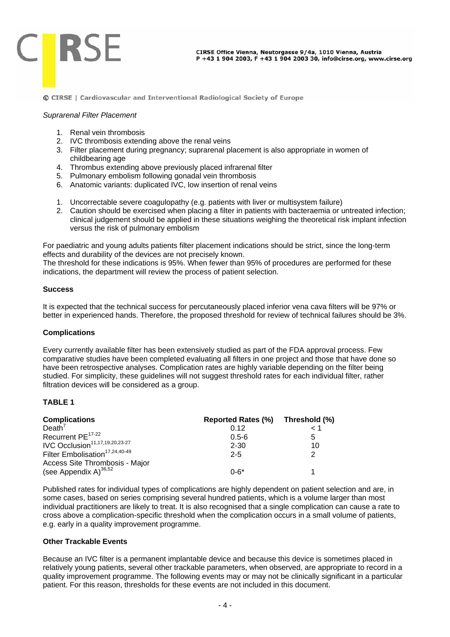

#### *Suprarenal Filter Placement*

- 1. Renal vein thrombosis
- 2. IVC thrombosis extending above the renal veins
- 3. Filter placement during pregnancy; suprarenal placement is also appropriate in women of childbearing age
- 4. Thrombus extending above previously placed infrarenal filter
- 5. Pulmonary embolism following gonadal vein thrombosis
- 6. Anatomic variants: duplicated IVC, low insertion of renal veins
- 1. Uncorrectable severe coagulopathy (e.g. patients with liver or multisystem failure)
- 2. Caution should be exercised when placing a filter in patients with bacteraemia or untreated infection; clinical judgement should be applied in these situations weighing the theoretical risk implant infection versus the risk of pulmonary embolism

For paediatric and young adults patients filter placement indications should be strict, since the long-term effects and durability of the devices are not precisely known.

The threshold for these indications is 95%. When fewer than 95% of procedures are performed for these indications, the department will review the process of patient selection.

#### **Success**

It is expected that the technical success for percutaneously placed inferior vena cava filters will be 97% or better in experienced hands. Therefore, the proposed threshold for review of technical failures should be 3%.

### **Complications**

Every currently available filter has been extensively studied as part of the FDA approval process. Few comparative studies have been completed evaluating all filters in one project and those that have done so have been retrospective analyses. Complication rates are highly variable depending on the filter being studied. For simplicity, these guidelines will not suggest threshold rates for each individual filter, rather filtration devices will be considered as a group.

## **TABLE 1**

| <b>Complications</b>                       | <b>Reported Rates (%)</b> | Threshold (%) |
|--------------------------------------------|---------------------------|---------------|
| Death'                                     | 0.12                      | $\leq 1$      |
| Recurrent PE <sup>17-22</sup>              | $0.5 - 6$                 | 5             |
| IVC Occlusion <sup>11,17,19,20,23-27</sup> | 2-30                      | 10            |
| Filter Embolisation <sup>17,24,40-49</sup> | $2 - 5$                   | 2             |
| Access Site Thrombosis - Major             |                           |               |
| (see Appendix A) $^{36,52}$                | $0 - 6*$                  |               |

Published rates for individual types of complications are highly dependent on patient selection and are, in some cases, based on series comprising several hundred patients, which is a volume larger than most individual practitioners are likely to treat. It is also recognised that a single complication can cause a rate to cross above a complication-specific threshold when the complication occurs in a small volume of patients, e.g. early in a quality improvement programme.

## **Other Trackable Events**

Because an IVC filter is a permanent implantable device and because this device is sometimes placed in relatively young patients, several other trackable parameters, when observed, are appropriate to record in a quality improvement programme. The following events may or may not be clinically significant in a particular patient. For this reason, thresholds for these events are not included in this document.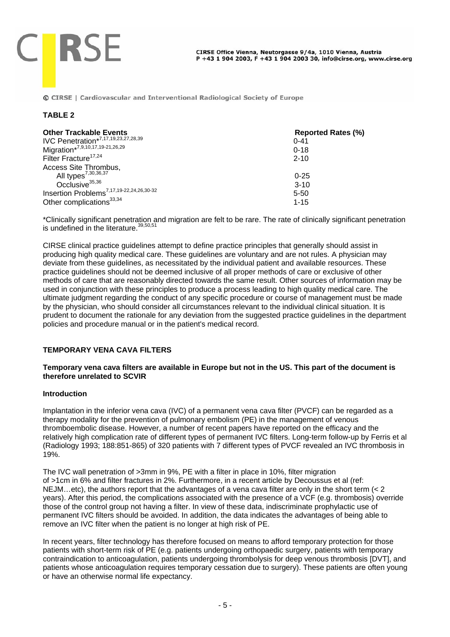#### **TABLE 2**

**CIRSE** 

| <b>Other Trackable Events</b>                        | <b>Reported Rates (%)</b> |
|------------------------------------------------------|---------------------------|
| IVC Penetration*7,17,19,23,27,28,39                  | $0 - 41$                  |
| Migration*7,9,10,17,19-21,26,29                      | $0 - 18$                  |
| Filter Fracture <sup>17,24</sup>                     | $2 - 10$                  |
| Access Site Thrombus,                                |                           |
| All types <sup>7,30,36,37</sup>                      | $0 - 25$                  |
| Occlusive <sup>35,36</sup>                           | $3 - 10$                  |
| Insertion Problems <sup>7,17,19-22,24,26,30-32</sup> | $5 - 50$                  |
| Other complications <sup>33,34</sup>                 | $1 - 15$                  |

\*Clinically significant penetration and migration are felt to be rare. The rate of clinically significant penetration is undefined in the literature. $39,50,51$ 

CIRSE clinical practice guidelines attempt to define practice principles that generally should assist in producing high quality medical care. These guidelines are voluntary and are not rules. A physician may deviate from these guidelines, as necessitated by the individual patient and available resources. These practice guidelines should not be deemed inclusive of all proper methods of care or exclusive of other methods of care that are reasonably directed towards the same result. Other sources of information may be used in conjunction with these principles to produce a process leading to high quality medical care. The ultimate judgment regarding the conduct of any specific procedure or course of management must be made by the physician, who should consider all circumstances relevant to the individual clinical situation. It is prudent to document the rationale for any deviation from the suggested practice guidelines in the department policies and procedure manual or in the patient's medical record.

### **TEMPORARY VENA CAVA FILTERS**

## **Temporary vena cava filters are available in Europe but not in the US. This part of the document is therefore unrelated to SCVIR**

### **Introduction**

Implantation in the inferior vena cava (IVC) of a permanent vena cava filter (PVCF) can be regarded as a therapy modality for the prevention of pulmonary embolism (PE) in the management of venous thromboembolic disease. However, a number of recent papers have reported on the efficacy and the relatively high complication rate of different types of permanent IVC filters. Long-term follow-up by Ferris et al (Radiology 1993; 188:851-865) of 320 patients with 7 different types of PVCF revealed an IVC thrombosis in 19%.

The IVC wall penetration of >3mm in 9%, PE with a filter in place in 10%, filter migration of >1cm in 6% and filter fractures in 2%. Furthermore, in a recent article by Decoussus et al (ref: NEJM...etc), the authors report that the advantages of a vena cava filter are only in the short term  $\left($  < 2 years). After this period, the complications associated with the presence of a VCF (e.g. thrombosis) override those of the control group not having a filter. In view of these data, indiscriminate prophylactic use of permanent IVC filters should be avoided. In addition, the data indicates the advantages of being able to remove an IVC filter when the patient is no longer at high risk of PE.

In recent years, filter technology has therefore focused on means to afford temporary protection for those patients with short-term risk of PE (e.g. patients undergoing orthopaedic surgery, patients with temporary contraindication to anticoagulation, patients undergoing thrombolysis for deep venous thrombosis [DVT], and patients whose anticoagulation requires temporary cessation due to surgery). These patients are often young or have an otherwise normal life expectancy.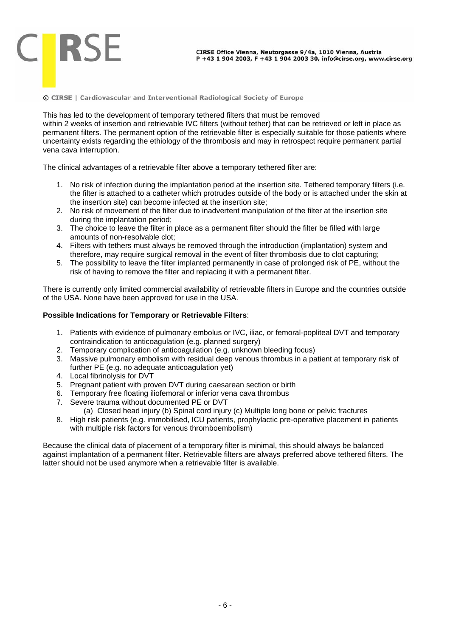This has led to the development of temporary tethered filters that must be removed within 2 weeks of insertion and retrievable IVC filters (without tether) that can be retrieved or left in place as permanent filters. The permanent option of the retrievable filter is especially suitable for those patients where uncertainty exists regarding the ethiology of the thrombosis and may in retrospect require permanent partial vena cava interruption.

The clinical advantages of a retrievable filter above a temporary tethered filter are:

- 1. No risk of infection during the implantation period at the insertion site. Tethered temporary filters (i.e. the filter is attached to a catheter which protrudes outside of the body or is attached under the skin at the insertion site) can become infected at the insertion site;
- 2. No risk of movement of the filter due to inadvertent manipulation of the filter at the insertion site during the implantation period;
- 3. The choice to leave the filter in place as a permanent filter should the filter be filled with large amounts of non-resolvable clot;
- 4. Filters with tethers must always be removed through the introduction (implantation) system and therefore, may require surgical removal in the event of filter thrombosis due to clot capturing;
- 5. The possibility to leave the filter implanted permanently in case of prolonged risk of PE, without the risk of having to remove the filter and replacing it with a permanent filter.

There is currently only limited commercial availability of retrievable filters in Europe and the countries outside of the USA. None have been approved for use in the USA.

#### **Possible Indications for Temporary or Retrievable Filters**:

- 1. Patients with evidence of pulmonary embolus or IVC, iliac, or femoral-popliteal DVT and temporary contraindication to anticoagulation (e.g. planned surgery)
- 2. Temporary complication of anticoagulation (e.g. unknown bleeding focus)
- 3. Massive pulmonary embolism with residual deep venous thrombus in a patient at temporary risk of further PE (e.g. no adequate anticoagulation yet)
- 4. Local fibrinolysis for DVT

**CIRSE** 

- 5. Pregnant patient with proven DVT during caesarean section or birth
- 6. Temporary free floating iliofemoral or inferior vena cava thrombus
- 7. Severe trauma without documented PE or DVT
	- (a) Closed head injury (b) Spinal cord injury (c) Multiple long bone or pelvic fractures
- 8. High risk patients (e.g. immobilised, ICU patients, prophylactic pre-operative placement in patients with multiple risk factors for venous thromboembolism)

Because the clinical data of placement of a temporary filter is minimal, this should always be balanced against implantation of a permanent filter. Retrievable filters are always preferred above tethered filters. The latter should not be used anymore when a retrievable filter is available.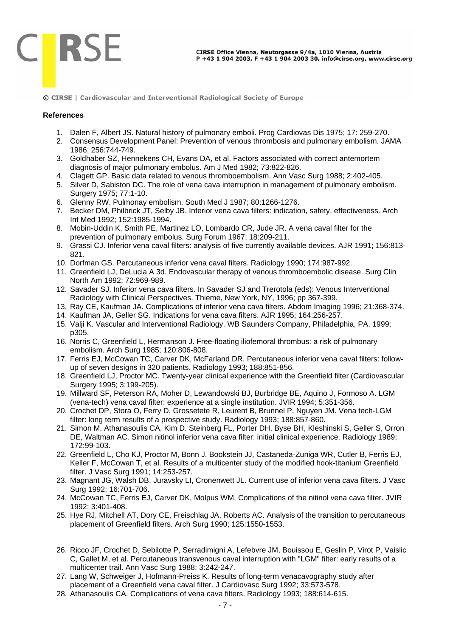

#### **References**

- 1. Dalen F, Albert JS. Natural history of pulmonary emboli. Prog Cardiovas Dis 1975; 17: 259-270.
- 2. Consensus Development Panel: Prevention of venous thrombosis and pulmonary embolism. JAMA 1986; 256:744-749.
- 3. Goldhaber SZ, Hennekens CH, Evans DA, et al. Factors associated with correct antemortem diagnosis of major pulmonary embolus. Am J Med 1982; 73:822-826.
- 4. Clagett GP. Basic data related to venous thromboembolism. Ann Vasc Surg 1988; 2:402-405.
- 5. Silver D, Sabiston DC. The role of vena cava interruption in management of pulmonary embolism. Surgery 1975; 77:1-10.
- 6. Glenny RW. Pulmonay embolism. South Med J 1987; 80:1266-1276.
- 7. Becker DM, Philbrick JT, Selby JB. Inferior vena cava filters: indication, safety, effectiveness. Arch Int Med 1992; 152:1985-1994.
- 8. Mobin-Uddin K, Smith PE, Martinez LO, Lombardo CR, Jude JR. A vena caval filter for the prevention of pulmonary embolus. Surg Forum 1967; 18:209-211.
- 9. Grassi CJ. Inferior vena caval filters: analysis of five currently available devices. AJR 1991; 156:813- 821.
- 10. Dorfman GS. Percutaneous inferior vena caval filters. Radiology 1990; 174:987-992.
- 11. Greenfield LJ, DeLucia A 3d. Endovascular therapy of venous thromboembolic disease. Surg Clin North Am 1992; 72:969-989.
- 12. Savader SJ. Inferior vena cava filters. In Savader SJ and Trerotola (eds): Venous Interventional Radiology with Clinical Perspectives. Thieme, New York, NY, 1996; pp 367-399.
- 13. Ray CE, Kaufman JA. Complications of inferior vena cava filters. Abdom Imaging 1996; 21:368-374.
- 14. Kaufman JA, Geller SG. Indications for vena cava filters. AJR 1995; 164:256-257.
- 15. Valji K. Vascular and Interventional Radiology. WB Saunders Company, Philadelphia, PA, 1999; p305.
- 16. Norris C, Greenfield L, Hermanson J. Free-floating iliofemoral thrombus: a risk of pulmonary embolism. Arch Surg 1985; 120:806-808.
- 17. Ferris EJ, McCowan TC, Carver DK, McFarland DR. Percutaneous inferior vena caval filters: followup of seven designs in 320 patients. Radiology 1993; 188:851-856.
- 18. Greenfield LJ, Proctor MC. Twenty-year clinical experience with the Greenfield filter (Cardiovascular Surgery 1995; 3:199-205).
- 19. Millward SF, Peterson RA, Moher D, Lewandowski BJ, Burbridge BE, Aquino J, Formoso A. LGM (vena-tech) vena caval filter: experience at a single institution. JVIR 1994; 5:351-356.
- 20. Crochet DP, Stora O, Ferry D, Grossetete R, Leurent B, Brunnel P, Nguyen JM. Vena tech-LGM filter: long term results of a prospective study. Radiology 1993; 188:857-860.
- 21. Simon M, Athanasoulis CA, Kim D. Steinberg FL, Porter DH, Byse BH, Kleshinski S, Geller S, Orron DE, Waltman AC. Simon nitinol inferior vena cava filter: initial clinical experience. Radiology 1989; 172:99-103.
- 22. Greenfield L, Cho KJ, Proctor M, Bonn J, Bookstein JJ, Castaneda-Zuniga WR, Cutler B, Ferris EJ, Keller F, McCowan T, et al. Results of a multicenter study of the modified hook-titanium Greenfield filter. J Vasc Surg 1991; 14:253-257.
- 23. Magnant JG, Walsh DB, Juravsky LI, Cronenwett JL. Current use of inferior vena cava filters. J Vasc Surg 1992; 16:701-706.
- 24. McCowan TC, Ferris EJ, Carver DK, Molpus WM. Complications of the nitinol vena cava filter. JVIR 1992; 3:401-408.
- 25. Hye RJ, Mitchell AT, Dory CE, Freischlag JA, Roberts AC. Analysis of the transition to percutaneous placement of Greenfield filters. Arch Surg 1990; 125:1550-1553.
- 26. Ricco JF, Crochet D, Sebilotte P, Serradimigni A, Lefebvre JM, Bouissou E, Geslin P, Virot P, Vaislic C, Gallet M, et al. Percutaneous transvenous caval interruption with "LGM" filter: early results of a multicenter trail. Ann Vasc Surg 1988; 3:242-247.
- 27. Lang W, Schweiger J, Hofmann-Preiss K. Results of long-term venacavography study after placement of a Greenfield vena caval filter. J Cardiovasc Surg 1992; 33:573-578.
- 28. Athanasoulis CA. Complications of vena cava filters. Radiology 1993; 188:614-615.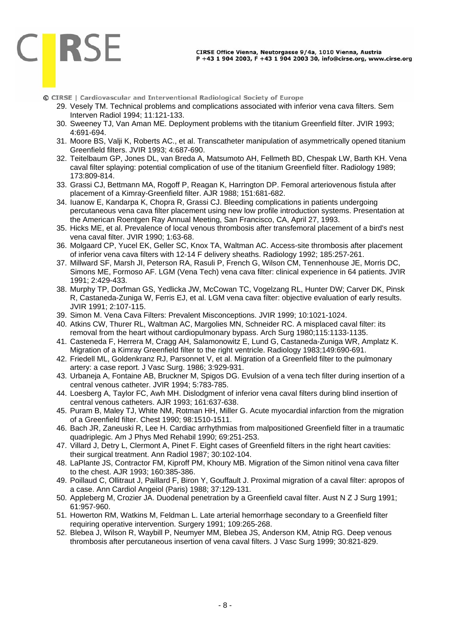#### CIRSE Office Vienna, Neutorgasse 9/4a, 1010 Vienna, Austria P +43 1 904 2003, F +43 1 904 2003 30, info@cirse.org, www.cirse.org

© CIRSE | Cardiovascular and Interventional Radiological Society of Europe

**CIRSE** 

- 29. Vesely TM. Technical problems and complications associated with inferior vena cava filters. Sem Interven Radiol 1994; 11:121-133.
- 30. Sweeney TJ, Van Aman ME. Deployment problems with the titanium Greenfield filter. JVIR 1993; 4:691-694.
- 31. Moore BS, Valji K, Roberts AC., et al. Transcatheter manipulation of asymmetrically opened titanium Greenfield filters. JVIR 1993; 4:687-690.
- 32. Teitelbaum GP, Jones DL, van Breda A, Matsumoto AH, Fellmeth BD, Chespak LW, Barth KH. Vena caval filter splaying: potential complication of use of the titanium Greenfield filter. Radiology 1989; 173:809-814.
- 33. Grassi CJ, Bettmann MA, Rogoff P, Reagan K, Harrington DP. Femoral arteriovenous fistula after placement of a Kimray-Greenfield filter. AJR 1988; 151:681-682.
- 34. Iuanow E, Kandarpa K, Chopra R, Grassi CJ. Bleeding complications in patients undergoing percutaneous vena cava filter placement using new low profile introduction systems. Presentation at the American Roentgen Ray Annual Meeting, San Francisco, CA, April 27, 1993.
- 35. Hicks ME, et al. Prevalence of local venous thrombosis after transfemoral placement of a bird's nest vena caval filter. JVIR 1990; 1:63-68.
- 36. Molgaard CP, Yucel EK, Geller SC, Knox TA, Waltman AC. Access-site thrombosis after placement of inferior vena cava filters with 12-14 F delivery sheaths. Radiology 1992; 185:257-261.
- 37. Millward SF, Marsh JI, Peterson RA, Rasuli P, French G, Wilson CM, Tennenhouse JE, Morris DC, Simons ME, Formoso AF. LGM (Vena Tech) vena cava filter: clinical experience in 64 patients. JVIR 1991; 2:429-433.
- 38. Murphy TP, Dorfman GS, Yedlicka JW, McCowan TC, Vogelzang RL, Hunter DW; Carver DK, Pinsk R, Castaneda-Zuniga W, Ferris EJ, et al. LGM vena cava filter: objective evaluation of early results. JVIR 1991; 2:107-115.
- 39. Simon M. Vena Cava Filters: Prevalent Misconceptions. JVIR 1999; 10:1021-1024.
- 40. Atkins CW, Thurer RL, Waltman AC, Margolies MN, Schneider RC. A misplaced caval filter: its removal from the heart without cardiopulmonary bypass. Arch Surg 1980;115:1133-1135.
- 41. Casteneda F, Herrera M, Cragg AH, Salamonowitz E, Lund G, Castaneda-Zuniga WR, Amplatz K. Migration of a Kimray Greenfield filter to the right ventricle. Radiology 1983;149:690-691.
- 42. Friedell ML, Goldenkranz RJ, Parsonnet V, et al. Migration of a Greenfield filter to the pulmonary artery: a case report. J Vasc Surg. 1986; 3:929-931.
- 43. Urbaneja A, Fontaine AB, Bruckner M, Spigos DG. Evulsion of a vena tech filter during insertion of a central venous catheter. JVIR 1994; 5:783-785.
- 44. Loesberg A, Taylor FC, Awh MH. Dislodgment of inferior vena caval filters during blind insertion of central venous catheters. AJR 1993; 161:637-638.
- 45. Puram B, Maley TJ, White NM, Rotman HH, Miller G. Acute myocardial infarction from the migration of a Greenfield filter. Chest 1990; 98:1510-1511.
- 46. Bach JR, Zaneuski R, Lee H. Cardiac arrhythmias from malpositioned Greenfield filter in a traumatic quadriplegic. Am J Phys Med Rehabil 1990; 69:251-253.
- 47. Villard J, Detry L, Clermont A, Pinet F. Eight cases of Greenfield filters in the right heart cavities: their surgical treatment. Ann Radiol 1987; 30:102-104.
- 48. LaPlante JS, Contractor FM, Kiproff PM, Khoury MB. Migration of the Simon nitinol vena cava filter to the chest. AJR 1993; 160:385-386.
- 49. Poillaud C, Ollitraut J, Paillard F, Biron Y, Gouffault J. Proximal migration of a caval filter: apropos of a case. Ann Cardiol Angeiol (Paris) 1988; 37:129-131.
- 50. Appleberg M, Crozier JA. Duodenal penetration by a Greenfield caval filter. Aust N Z J Surg 1991; 61:957-960.
- 51. Howerton RM, Watkins M, Feldman L. Late arterial hemorrhage secondary to a Greenfield filter requiring operative intervention. Surgery 1991; 109:265-268.
- 52. Blebea J, Wilson R, Waybill P, Neumyer MM, Blebea JS, Anderson KM, Atnip RG. Deep venous thrombosis after percutaneous insertion of vena caval filters. J Vasc Surg 1999; 30:821-829.